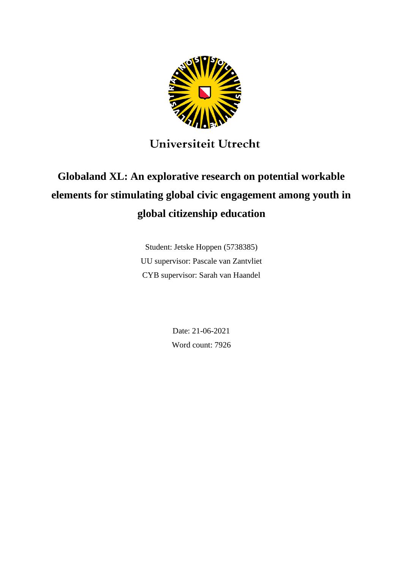

## Universiteit Utrecht

# **Globaland XL: An explorative research on potential workable elements for stimulating global civic engagement among youth in global citizenship education**

Student: Jetske Hoppen (5738385) UU supervisor: Pascale van Zantvliet CYB supervisor: Sarah van Haandel

> Date: 21-06-2021 Word count: 7926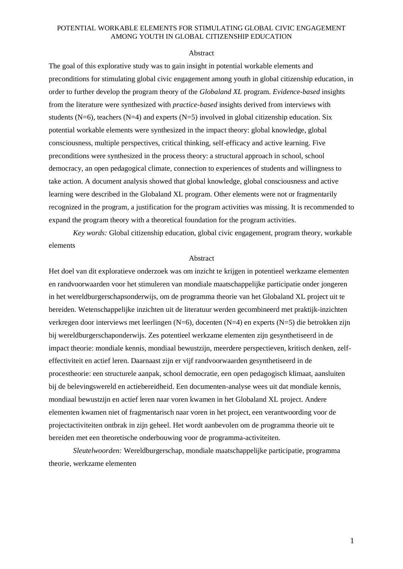#### Abstract

The goal of this explorative study was to gain insight in potential workable elements and preconditions for stimulating global civic engagement among youth in global citizenship education, in order to further develop the program theory of the *Globaland XL* program. *Evidence-based* insights from the literature were synthesized with *practice-based* insights derived from interviews with students (N=6), teachers (N=4) and experts (N=5) involved in global citizenship education. Six potential workable elements were synthesized in the impact theory: global knowledge, global consciousness, multiple perspectives, critical thinking, self-efficacy and active learning. Five preconditions were synthesized in the process theory: a structural approach in school, school democracy, an open pedagogical climate, connection to experiences of students and willingness to take action. A document analysis showed that global knowledge, global consciousness and active learning were described in the Globaland XL program. Other elements were not or fragmentarily recognized in the program, a justification for the program activities was missing. It is recommended to expand the program theory with a theoretical foundation for the program activities.

*Key words:* Global citizenship education, global civic engagement, program theory, workable elements

#### Abstract

Het doel van dit exploratieve onderzoek was om inzicht te krijgen in potentieel werkzame elementen en randvoorwaarden voor het stimuleren van mondiale maatschappelijke participatie onder jongeren in het wereldburgerschapsonderwijs, om de programma theorie van het Globaland XL project uit te bereiden. Wetenschappelijke inzichten uit de literatuur werden gecombineerd met praktijk-inzichten verkregen door interviews met leerlingen (N=6), docenten (N=4) en experts (N=5) die betrokken zijn bij wereldburgerschaponderwijs. Zes potentieel werkzame elementen zijn gesynthetiseerd in de impact theorie: mondiale kennis, mondiaal bewustzijn, meerdere perspectieven, kritisch denken, zelfeffectiviteit en actief leren. Daarnaast zijn er vijf randvoorwaarden gesynthetiseerd in de procestheorie: een structurele aanpak, school democratie, een open pedagogisch klimaat, aansluiten bij de belevingswereld en actiebereidheid. Een documenten-analyse wees uit dat mondiale kennis, mondiaal bewustzijn en actief leren naar voren kwamen in het Globaland XL project. Andere elementen kwamen niet of fragmentarisch naar voren in het project, een verantwoording voor de projectactiviteiten ontbrak in zijn geheel. Het wordt aanbevolen om de programma theorie uit te bereiden met een theoretische onderbouwing voor de programma-activiteiten.

*Sleutelwoorden:* Wereldburgerschap, mondiale maatschappelijke participatie, programma theorie, werkzame elementen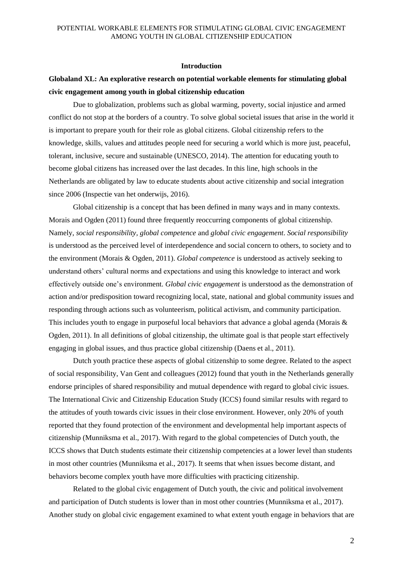#### **Introduction**

## **Globaland XL: An explorative research on potential workable elements for stimulating global civic engagement among youth in global citizenship education**

Due to globalization, problems such as global warming, poverty, social injustice and armed conflict do not stop at the borders of a country. To solve global societal issues that arise in the world it is important to prepare youth for their role as global citizens. Global citizenship refers to the knowledge, skills, values and attitudes people need for securing a world which is more just, peaceful, tolerant, inclusive, secure and sustainable (UNESCO, 2014). The attention for educating youth to become global citizens has increased over the last decades. In this line, high schools in the Netherlands are obligated by law to educate students about active citizenship and social integration since 2006 (Inspectie van het onderwijs, 2016).

Global citizenship is a concept that has been defined in many ways and in many contexts. Morais and Ogden (2011) found three frequently reoccurring components of global citizenship. Namely, *social responsibility, global competence* and *global civic engagement*. *Social responsibility* is understood as the perceived level of interdependence and social concern to others, to society and to the environment (Morais & Ogden, 2011). *Global competence* is understood as actively seeking to understand others' cultural norms and expectations and using this knowledge to interact and work effectively outside one's environment. *Global civic engagement* is understood as the demonstration of action and/or predisposition toward recognizing local, state, national and global community issues and responding through actions such as volunteerism, political activism, and community participation. This includes youth to engage in purposeful local behaviors that advance a global agenda (Morais & Ogden, 2011). In all definitions of global citizenship, the ultimate goal is that people start effectively engaging in global issues, and thus practice global citizenship (Daens et al., 2011).

Dutch youth practice these aspects of global citizenship to some degree. Related to the aspect of social responsibility, Van Gent and colleagues (2012) found that youth in the Netherlands generally endorse principles of shared responsibility and mutual dependence with regard to global civic issues. The International Civic and Citizenship Education Study (ICCS) found similar results with regard to the attitudes of youth towards civic issues in their close environment. However, only 20% of youth reported that they found protection of the environment and developmental help important aspects of citizenship (Munniksma et al., 2017). With regard to the global competencies of Dutch youth, the ICCS shows that Dutch students estimate their citizenship competencies at a lower level than students in most other countries (Munniksma et al., 2017). It seems that when issues become distant, and behaviors become complex youth have more difficulties with practicing citizenship.

Related to the global civic engagement of Dutch youth, the civic and political involvement and participation of Dutch students is lower than in most other countries (Munniksma et al., 2017). Another study on global civic engagement examined to what extent youth engage in behaviors that are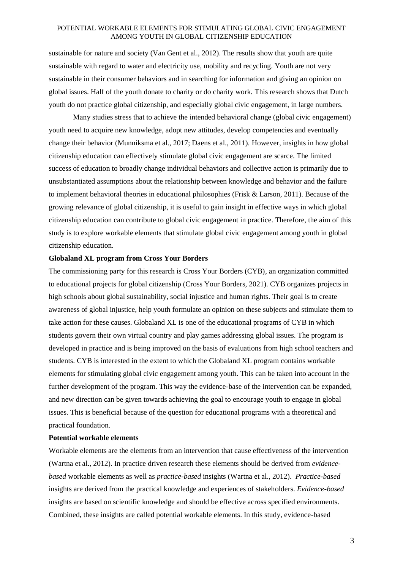sustainable for nature and society (Van Gent et al., 2012). The results show that youth are quite sustainable with regard to water and electricity use, mobility and recycling. Youth are not very sustainable in their consumer behaviors and in searching for information and giving an opinion on global issues. Half of the youth donate to charity or do charity work. This research shows that Dutch youth do not practice global citizenship, and especially global civic engagement, in large numbers.

Many studies stress that to achieve the intended behavioral change (global civic engagement) youth need to acquire new knowledge, adopt new attitudes, develop competencies and eventually change their behavior (Munniksma et al., 2017; Daens et al., 2011). However, insights in how global citizenship education can effectively stimulate global civic engagement are scarce. The limited success of education to broadly change individual behaviors and collective action is primarily due to unsubstantiated assumptions about the relationship between knowledge and behavior and the failure to implement behavioral theories in educational philosophies (Frisk & Larson, 2011). Because of the growing relevance of global citizenship, it is useful to gain insight in effective ways in which global citizenship education can contribute to global civic engagement in practice. Therefore, the aim of this study is to explore workable elements that stimulate global civic engagement among youth in global citizenship education.

#### **Globaland XL program from Cross Your Borders**

The commissioning party for this research is Cross Your Borders (CYB), an organization committed to educational projects for global citizenship (Cross Your Borders, 2021). CYB organizes projects in high schools about global sustainability, social injustice and human rights. Their goal is to create awareness of global injustice, help youth formulate an opinion on these subjects and stimulate them to take action for these causes. Globaland XL is one of the educational programs of CYB in which students govern their own virtual country and play games addressing global issues. The program is developed in practice and is being improved on the basis of evaluations from high school teachers and students. CYB is interested in the extent to which the Globaland XL program contains workable elements for stimulating global civic engagement among youth. This can be taken into account in the further development of the program. This way the evidence-base of the intervention can be expanded, and new direction can be given towards achieving the goal to encourage youth to engage in global issues. This is beneficial because of the question for educational programs with a theoretical and practical foundation.

#### **Potential workable elements**

Workable elements are the elements from an intervention that cause effectiveness of the intervention (Wartna et al., 2012). In practice driven research these elements should be derived from *evidencebased* workable elements as well as *practice-based* insights (Wartna et al., 2012). *Practice-based*  insights are derived from the practical knowledge and experiences of stakeholders. *Evidence-based* insights are based on scientific knowledge and should be effective across specified environments. Combined, these insights are called potential workable elements. In this study, evidence-based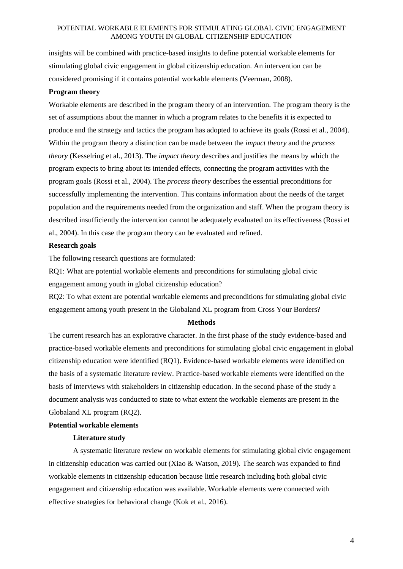insights will be combined with practice-based insights to define potential workable elements for stimulating global civic engagement in global citizenship education. An intervention can be considered promising if it contains potential workable elements (Veerman, 2008).

#### **Program theory**

Workable elements are described in the program theory of an intervention. The program theory is the set of assumptions about the manner in which a program relates to the benefits it is expected to produce and the strategy and tactics the program has adopted to achieve its goals (Rossi et al., 2004). Within the program theory a distinction can be made between the *impact theory* and the *process theory* (Kesselring et al., 2013). The *impact theory* describes and justifies the means by which the program expects to bring about its intended effects, connecting the program activities with the program goals (Rossi et al., 2004). The *process theory* describes the essential preconditions for successfully implementing the intervention. This contains information about the needs of the target population and the requirements needed from the organization and staff. When the program theory is described insufficiently the intervention cannot be adequately evaluated on its effectiveness (Rossi et al., 2004). In this case the program theory can be evaluated and refined.

#### **Research goals**

The following research questions are formulated:

RQ1: What are potential workable elements and preconditions for stimulating global civic engagement among youth in global citizenship education?

RQ2: To what extent are potential workable elements and preconditions for stimulating global civic engagement among youth present in the Globaland XL program from Cross Your Borders?

#### **Methods**

The current research has an explorative character. In the first phase of the study evidence-based and practice-based workable elements and preconditions for stimulating global civic engagement in global citizenship education were identified (RQ1). Evidence-based workable elements were identified on the basis of a systematic literature review. Practice-based workable elements were identified on the basis of interviews with stakeholders in citizenship education. In the second phase of the study a document analysis was conducted to state to what extent the workable elements are present in the Globaland XL program (RQ2).

#### **Potential workable elements**

#### **Literature study**

A systematic literature review on workable elements for stimulating global civic engagement in citizenship education was carried out (Xiao & Watson, 2019). The search was expanded to find workable elements in citizenship education because little research including both global civic engagement and citizenship education was available. Workable elements were connected with effective strategies for behavioral change (Kok et al., 2016).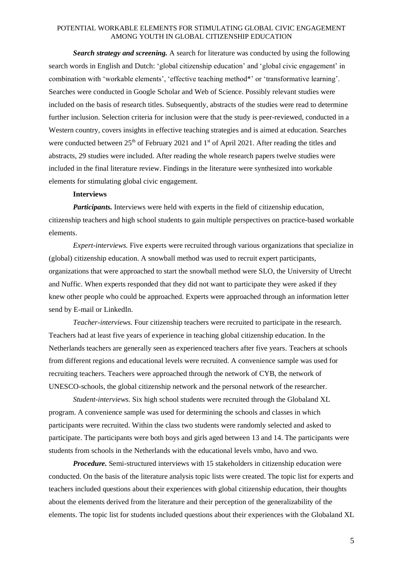*Search strategy and screening.* A search for literature was conducted by using the following search words in English and Dutch: 'global citizenship education' and 'global civic engagement' in combination with 'workable elements', 'effective teaching method\*' or 'transformative learning'. Searches were conducted in Google Scholar and Web of Science. Possibly relevant studies were included on the basis of research titles. Subsequently, abstracts of the studies were read to determine further inclusion. Selection criteria for inclusion were that the study is peer-reviewed, conducted in a Western country, covers insights in effective teaching strategies and is aimed at education. Searches were conducted between 25<sup>th</sup> of February 2021 and 1<sup>st</sup> of April 2021. After reading the titles and abstracts, 29 studies were included. After reading the whole research papers twelve studies were included in the final literature review. Findings in the literature were synthesized into workable elements for stimulating global civic engagement.

#### **Interviews**

*Participants.* Interviews were held with experts in the field of citizenship education, citizenship teachers and high school students to gain multiple perspectives on practice-based workable elements.

*Expert-interviews.* Five experts were recruited through various organizations that specialize in (global) citizenship education. A snowball method was used to recruit expert participants, organizations that were approached to start the snowball method were SLO, the University of Utrecht and Nuffic. When experts responded that they did not want to participate they were asked if they knew other people who could be approached. Experts were approached through an information letter send by E-mail or LinkedIn.

*Teacher-interviews.* Four citizenship teachers were recruited to participate in the research. Teachers had at least five years of experience in teaching global citizenship education. In the Netherlands teachers are generally seen as experienced teachers after five years. Teachers at schools from different regions and educational levels were recruited. A convenience sample was used for recruiting teachers. Teachers were approached through the network of CYB, the network of UNESCO-schools, the global citizenship network and the personal network of the researcher.

*Student-interviews.* Six high school students were recruited through the Globaland XL program. A convenience sample was used for determining the schools and classes in which participants were recruited. Within the class two students were randomly selected and asked to participate. The participants were both boys and girls aged between 13 and 14. The participants were students from schools in the Netherlands with the educational levels vmbo, havo and vwo.

*Procedure.* Semi-structured interviews with 15 stakeholders in citizenship education were conducted. On the basis of the literature analysis topic lists were created. The topic list for experts and teachers included questions about their experiences with global citizenship education, their thoughts about the elements derived from the literature and their perception of the generalizability of the elements. The topic list for students included questions about their experiences with the Globaland XL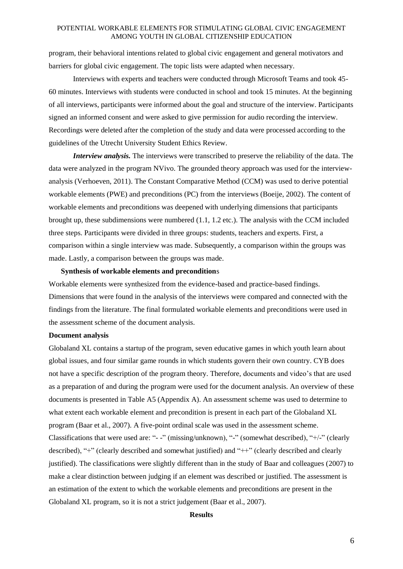program, their behavioral intentions related to global civic engagement and general motivators and barriers for global civic engagement. The topic lists were adapted when necessary.

Interviews with experts and teachers were conducted through Microsoft Teams and took 45- 60 minutes. Interviews with students were conducted in school and took 15 minutes. At the beginning of all interviews, participants were informed about the goal and structure of the interview. Participants signed an informed consent and were asked to give permission for audio recording the interview. Recordings were deleted after the completion of the study and data were processed according to the guidelines of the Utrecht University Student Ethics Review.

*Interview analysis.* The interviews were transcribed to preserve the reliability of the data. The data were analyzed in the program NVivo. The grounded theory approach was used for the interviewanalysis (Verhoeven, 2011). The Constant Comparative Method (CCM) was used to derive potential workable elements (PWE) and preconditions (PC) from the interviews (Boeije, 2002). The content of workable elements and preconditions was deepened with underlying dimensions that participants brought up, these subdimensions were numbered (1.1, 1.2 etc.). The analysis with the CCM included three steps. Participants were divided in three groups: students, teachers and experts. First, a comparison within a single interview was made. Subsequently, a comparison within the groups was made. Lastly, a comparison between the groups was made.

#### **Synthesis of workable elements and precondition**s

Workable elements were synthesized from the evidence-based and practice-based findings. Dimensions that were found in the analysis of the interviews were compared and connected with the findings from the literature. The final formulated workable elements and preconditions were used in the assessment scheme of the document analysis.

#### **Document analysis**

Globaland XL contains a startup of the program, seven educative games in which youth learn about global issues, and four similar game rounds in which students govern their own country. CYB does not have a specific description of the program theory. Therefore, documents and video's that are used as a preparation of and during the program were used for the document analysis. An overview of these documents is presented in Table A5 (Appendix A). An assessment scheme was used to determine to what extent each workable element and precondition is present in each part of the Globaland XL program (Baar et al., 2007). A five-point ordinal scale was used in the assessment scheme. Classifications that were used are: "- -" (missing/unknown), "-" (somewhat described), "+/-" (clearly described), "+" (clearly described and somewhat justified) and "++" (clearly described and clearly justified). The classifications were slightly different than in the study of Baar and colleagues (2007) to make a clear distinction between judging if an element was described or justified. The assessment is an estimation of the extent to which the workable elements and preconditions are present in the Globaland XL program, so it is not a strict judgement (Baar et al., 2007).

#### **Results**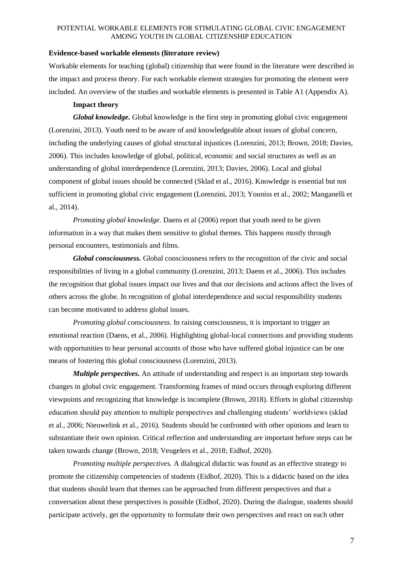#### **Evidence-based workable elements (literature review)**

Workable elements for teaching (global) citizenship that were found in the literature were described in the impact and process theory. For each workable element strategies for promoting the element were included. An overview of the studies and workable elements is presented in Table A1 (Appendix A).

#### **Impact theory**

*Global knowledge.* Global knowledge is the first step in promoting global civic engagement (Lorenzini, 2013). Youth need to be aware of and knowledgeable about issues of global concern, including the underlying causes of global structural injustices (Lorenzini, 2013; Brown, 2018; Davies, 2006). This includes knowledge of global, political, economic and social structures as well as an understanding of global interdependence (Lorenzini, 2013; Davies, 2006). Local and global component of global issues should be connected (Sklad et al., 2016). Knowledge is essential but not sufficient in promoting global civic engagement (Lorenzini, 2013; Youniss et al., 2002; Manganelli et al., 2014).

*Promoting global knowledge.* Daens et al (2006) report that youth need to be given information in a way that makes them sensitive to global themes. This happens mostly through personal encounters, testimonials and films.

*Global consciousness.* Global consciousness refers to the recognition of the civic and social responsibilities of living in a global community (Lorenzini, 2013; Daens et al., 2006). This includes the recognition that global issues impact our lives and that our decisions and actions affect the lives of others across the globe. In recognition of global interdependence and social responsibility students can become motivated to address global issues.

*Promoting global consciousness.* In raising consciousness, it is important to trigger an emotional reaction (Daens, et al., 2006). Highlighting global-local connections and providing students with opportunities to hear personal accounts of those who have suffered global injustice can be one means of fostering this global consciousness (Lorenzini, 2013).

*Multiple perspectives.* An attitude of understanding and respect is an important step towards changes in global civic engagement. Transforming frames of mind occurs through exploring different viewpoints and recognizing that knowledge is incomplete (Brown, 2018). Efforts in global citizenship education should pay attention to multiple perspectives and challenging students' worldviews (sklad et al., 2006; Nieuwelink et al., 2016). Students should be confronted with other opinions and learn to substantiate their own opinion. Critical reflection and understanding are important before steps can be taken towards change (Brown, 2018; Veugelers et al., 2018; Eidhof, 2020).

*Promoting multiple perspectives.* A dialogical didactic was found as an effective strategy to promote the citizenship competencies of students (Eidhof, 2020). This is a didactic based on the idea that students should learn that themes can be approached from different perspectives and that a conversation about these perspectives is possible (Eidhof, 2020). During the dialogue, students should participate actively, get the opportunity to formulate their own perspectives and react on each other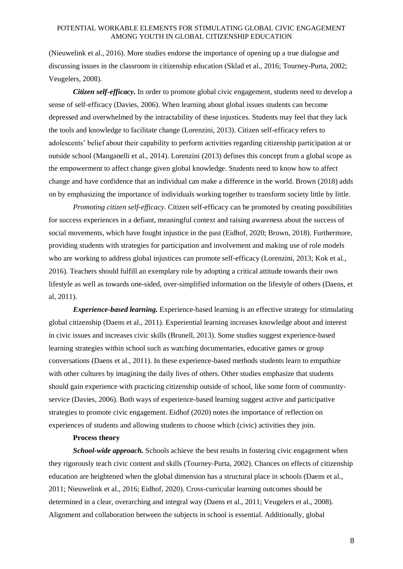(Nieuwelink et al., 2016). More studies endorse the importance of opening up a true dialogue and discussing issues in the classroom in citizenship education (Sklad et al., 2016; Tourney-Purta, 2002; Veugelers, 2008).

*Citizen self-efficacy.* In order to promote global civic engagement, students need to develop a sense of self-efficacy (Davies, 2006). When learning about global issues students can become depressed and overwhelmed by the intractability of these injustices. Students may feel that they lack the tools and knowledge to facilitate change (Lorenzini, 2013). Citizen self-efficacy refers to adolescents' belief about their capability to perform activities regarding citizenship participation at or outside school (Manganelli et al., 2014). Lorenzini (2013) defines this concept from a global scope as the empowerment to affect change given global knowledge. Students need to know how to affect change and have confidence that an individual can make a difference in the world. Brown (2018) adds on by emphasizing the importance of individuals working together to transform society little by little.

*Promoting citizen self-efficacy.* Citizen self-efficacy can be promoted by creating possibilities for success experiences in a defiant, meaningful context and raising awareness about the success of social movements, which have fought injustice in the past (Eidhof, 2020; Brown, 2018). Furthermore, providing students with strategies for participation and involvement and making use of role models who are working to address global injustices can promote self-efficacy (Lorenzini, 2013; Kok et al., 2016). Teachers should fulfill an exemplary role by adopting a critical attitude towards their own lifestyle as well as towards one-sided, over-simplified information on the lifestyle of others (Daens, et al, 2011).

*Experience-based learning.* Experience-based learning is an effective strategy for stimulating global citizenship (Daens et al., 2011). Experiential learning increases knowledge about and interest in civic issues and increases civic skills (Brunell, 2013). Some studies suggest experience-based learning strategies within school such as watching documentaries, educative games or group conversations (Daens et al., 2011). In these experience-based methods students learn to empathize with other cultures by imagining the daily lives of others. Other studies emphasize that students should gain experience with practicing citizenship outside of school, like some form of communityservice (Davies, 2006). Both ways of experience-based learning suggest active and participative strategies to promote civic engagement. Eidhof (2020) notes the importance of reflection on experiences of students and allowing students to choose which (civic) activities they join.

#### **Process theory**

*School-wide approach.* Schools achieve the best results in fostering civic engagement when they rigorously teach civic content and skills (Tourney-Purta, 2002). Chances on effects of citizenship education are heightened when the global dimension has a structural place in schools (Daens et al., 2011; Nieuwelink et al., 2016; Eidhof, 2020). Cross-curricular learning outcomes should be determined in a clear, overarching and integral way (Daens et al., 2011; Veugelers et al., 2008). Alignment and collaboration between the subjects in school is essential. Additionally, global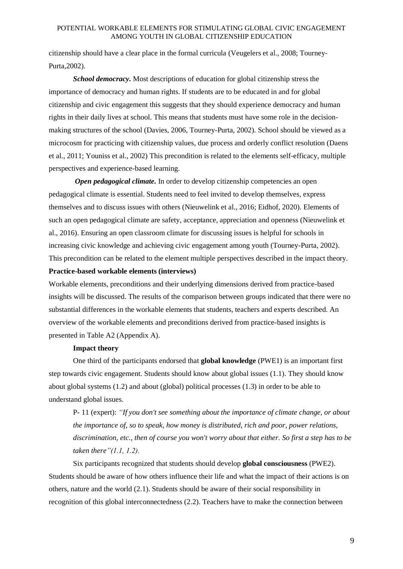citizenship should have a clear place in the formal curricula (Veugelers et al., 2008; Tourney-Purta,2002).

*School democracy.* Most descriptions of education for global citizenship stress the importance of democracy and human rights. If students are to be educated in and for global citizenship and civic engagement this suggests that they should experience democracy and human rights in their daily lives at school. This means that students must have some role in the decisionmaking structures of the school (Davies, 2006, Tourney-Purta, 2002). School should be viewed as a microcosm for practicing with citizenship values, due process and orderly conflict resolution (Daens et al., 2011; Youniss et al., 2002) This precondition is related to the elements self-efficacy, multiple perspectives and experience-based learning.

*Open pedagogical climate.* In order to develop citizenship competencies an open pedagogical climate is essential. Students need to feel invited to develop themselves, express themselves and to discuss issues with others (Nieuwelink et al., 2016; Eidhof, 2020). Elements of such an open pedagogical climate are safety, acceptance, appreciation and openness (Nieuwelink et al., 2016). Ensuring an open classroom climate for discussing issues is helpful for schools in increasing civic knowledge and achieving civic engagement among youth (Tourney-Purta, 2002). This precondition can be related to the element multiple perspectives described in the impact theory. **Practice-based workable elements (interviews)**

Workable elements, preconditions and their underlying dimensions derived from practice-based insights will be discussed. The results of the comparison between groups indicated that there were no substantial differences in the workable elements that students, teachers and experts described. An overview of the workable elements and preconditions derived from practice-based insights is presented in Table A2 (Appendix A).

#### **Impact theory**

One third of the participants endorsed that **global knowledge** (PWE1) is an important first step towards civic engagement. Students should know about global issues (1.1). They should know about global systems (1.2) and about (global) political processes (1.3) in order to be able to understand global issues.

P- 11 (expert): *"If you don't see something about the importance of climate change, or about the importance of, so to speak, how money is distributed, rich and poor, power relations, discrimination, etc., then of course you won't worry about that either. So first a step has to be taken there"(1.1, 1.2).* 

Six participants recognized that students should develop **global consciousness** (PWE2). Students should be aware of how others influence their life and what the impact of their actions is on others, nature and the world (2.1). Students should be aware of their social responsibility in recognition of this global interconnectedness (2.2). Teachers have to make the connection between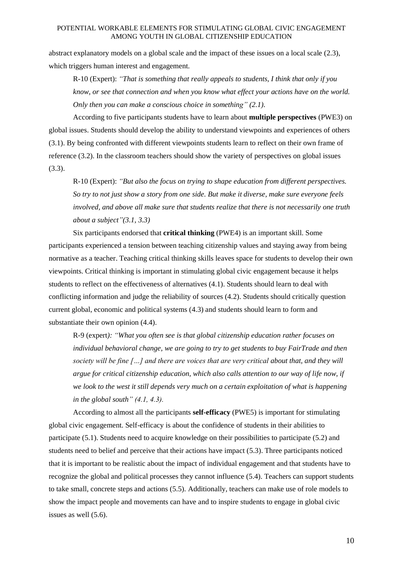abstract explanatory models on a global scale and the impact of these issues on a local scale (2.3), which triggers human interest and engagement.

R-10 (Expert): *"That is something that really appeals to students, I think that only if you know, or see that connection and when you know what effect your actions have on the world. Only then you can make a conscious choice in something" (2.1).*

According to five participants students have to learn about **multiple perspectives** (PWE3) on global issues. Students should develop the ability to understand viewpoints and experiences of others (3.1). By being confronted with different viewpoints students learn to reflect on their own frame of reference (3.2). In the classroom teachers should show the variety of perspectives on global issues (3.3).

R-10 (Expert): *"But also the focus on trying to shape education from different perspectives. So try to not just show a story from one side. But make it diverse, make sure everyone feels involved, and above all make sure that students realize that there is not necessarily one truth about a subject"(3.1, 3.3)*

Six participants endorsed that **critical thinking** (PWE4) is an important skill. Some participants experienced a tension between teaching citizenship values and staying away from being normative as a teacher. Teaching critical thinking skills leaves space for students to develop their own viewpoints. Critical thinking is important in stimulating global civic engagement because it helps students to reflect on the effectiveness of alternatives (4.1). Students should learn to deal with conflicting information and judge the reliability of sources (4.2). Students should critically question current global, economic and political systems (4.3) and students should learn to form and substantiate their own opinion (4.4).

R-9 (expert*): "What you often see is that global citizenship education rather focuses on individual behavioral change, we are going to try to get students to buy FairTrade and then society will be fine […] and there are voices that are very critical about that, and they will argue for critical citizenship education, which also calls attention to our way of life now, if we look to the west it still depends very much on a certain exploitation of what is happening in the global south" (4.1, 4.3).*

According to almost all the participants **self-efficacy** (PWE5) is important for stimulating global civic engagement. Self-efficacy is about the confidence of students in their abilities to participate (5.1). Students need to acquire knowledge on their possibilities to participate (5.2) and students need to belief and perceive that their actions have impact (5.3). Three participants noticed that it is important to be realistic about the impact of individual engagement and that students have to recognize the global and political processes they cannot influence (5.4). Teachers can support students to take small, concrete steps and actions (5.5). Additionally, teachers can make use of role models to show the impact people and movements can have and to inspire students to engage in global civic issues as well (5.6).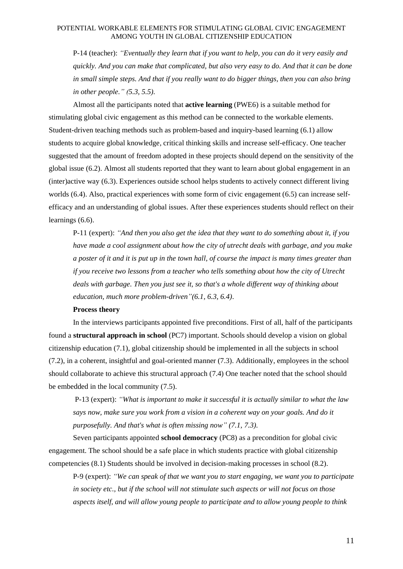P-14 (teacher): *"Eventually they learn that if you want to help, you can do it very easily and quickly. And you can make that complicated, but also very easy to do. And that it can be done in small simple steps. And that if you really want to do bigger things, then you can also bring in other people." (5.3, 5.5).*

Almost all the participants noted that **active learning** (PWE6) is a suitable method for stimulating global civic engagement as this method can be connected to the workable elements. Student-driven teaching methods such as problem-based and inquiry-based learning (6.1) allow students to acquire global knowledge, critical thinking skills and increase self-efficacy. One teacher suggested that the amount of freedom adopted in these projects should depend on the sensitivity of the global issue (6.2). Almost all students reported that they want to learn about global engagement in an (inter)active way (6.3). Experiences outside school helps students to actively connect different living worlds (6.4). Also, practical experiences with some form of civic engagement (6.5) can increase selfefficacy and an understanding of global issues. After these experiences students should reflect on their learnings (6.6).

P-11 (expert): *"And then you also get the idea that they want to do something about it, if you have made a cool assignment about how the city of utrecht deals with garbage, and you make a poster of it and it is put up in the town hall, of course the impact is many times greater than if you receive two lessons from a teacher who tells something about how the city of Utrecht deals with garbage. Then you just see it, so that's a whole different way of thinking about education, much more problem-driven"(6.1, 6.3, 6.4)*.

#### **Process theory**

In the interviews participants appointed five preconditions. First of all, half of the participants found a **structural approach in school** (PC7) important. Schools should develop a vision on global citizenship education (7.1), global citizenship should be implemented in all the subjects in school (7.2), in a coherent, insightful and goal-oriented manner (7.3). Additionally, employees in the school should collaborate to achieve this structural approach (7.4) One teacher noted that the school should be embedded in the local community (7.5).

P-13 (expert): *"What is important to make it successful it is actually similar to what the law says now, make sure you work from a vision in a coherent way on your goals. And do it purposefully. And that's what is often missing now" (7.1, 7.3).*

Seven participants appointed **school democracy** (PC8) as a precondition for global civic engagement. The school should be a safe place in which students practice with global citizenship competencies (8.1) Students should be involved in decision-making processes in school (8.2).

P-9 (expert): *"We can speak of that we want you to start engaging, we want you to participate in society etc., but if the school will not stimulate such aspects or will not focus on those aspects itself, and will allow young people to participate and to allow young people to think*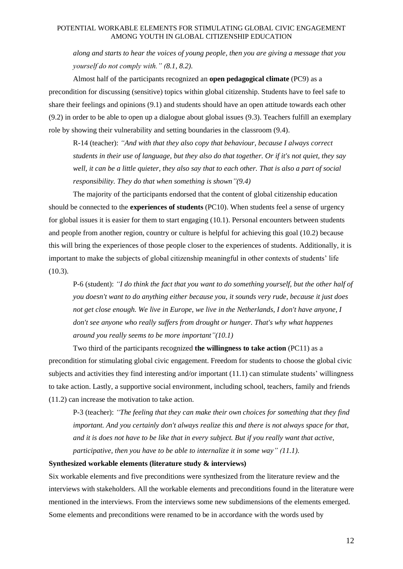*along and starts to hear the voices of young people, then you are giving a message that you yourself do not comply with." (8.1, 8.2).*

Almost half of the participants recognized an **open pedagogical climate** (PC9) as a precondition for discussing (sensitive) topics within global citizenship. Students have to feel safe to share their feelings and opinions (9.1) and students should have an open attitude towards each other (9.2) in order to be able to open up a dialogue about global issues (9.3). Teachers fulfill an exemplary role by showing their vulnerability and setting boundaries in the classroom (9.4).

R-14 (teacher): *"And with that they also copy that behaviour, because I always correct students in their use of language, but they also do that together. Or if it's not quiet, they say well, it can be a little quieter, they also say that to each other. That is also a part of social responsibility. They do that when something is shown"(9.4)*

The majority of the participants endorsed that the content of global citizenship education should be connected to the **experiences of students** (PC10). When students feel a sense of urgency for global issues it is easier for them to start engaging (10.1). Personal encounters between students and people from another region, country or culture is helpful for achieving this goal (10.2) because this will bring the experiences of those people closer to the experiences of students. Additionally, it is important to make the subjects of global citizenship meaningful in other contexts of students' life  $(10.3)$ .

P-6 (student): *"I do think the fact that you want to do something yourself, but the other half of you doesn't want to do anything either because you, it sounds very rude, because it just does not get close enough. We live in Europe, we live in the Netherlands, I don't have anyone, I don't see anyone who really suffers from drought or hunger. That's why what happenes around you really seems to be more important"(10.1)*

Two third of the participants recognized **the willingness to take action** (PC11) as a precondition for stimulating global civic engagement. Freedom for students to choose the global civic subjects and activities they find interesting and/or important (11.1) can stimulate students' willingness to take action. Lastly, a supportive social environment, including school, teachers, family and friends (11.2) can increase the motivation to take action.

P-3 (teacher): *"The feeling that they can make their own choices for something that they find important. And you certainly don't always realize this and there is not always space for that, and it is does not have to be like that in every subject. But if you really want that active, participative, then you have to be able to internalize it in some way" (11.1).*

#### **Synthesized workable elements (literature study & interviews)**

Six workable elements and five preconditions were synthesized from the literature review and the interviews with stakeholders. All the workable elements and preconditions found in the literature were mentioned in the interviews. From the interviews some new subdimensions of the elements emerged. Some elements and preconditions were renamed to be in accordance with the words used by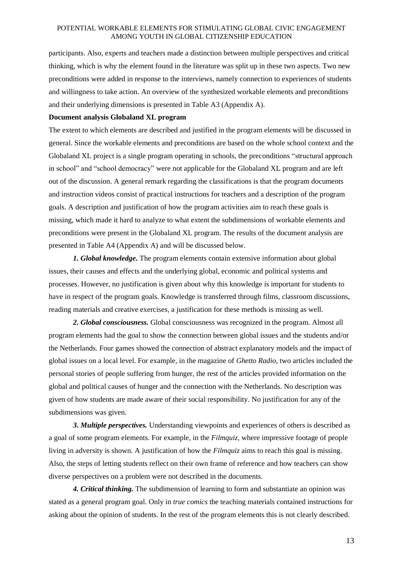participants. Also, experts and teachers made a distinction between multiple perspectives and critical thinking, which is why the element found in the literature was split up in these two aspects. Two new preconditions were added in response to the interviews, namely connection to experiences of students and willingness to take action. An overview of the synthesized workable elements and preconditions and their underlying dimensions is presented in Table A3 (Appendix A).

#### **Document analysis Globaland XL program**

The extent to which elements are described and justified in the program elements will be discussed in general. Since the workable elements and preconditions are based on the whole school context and the Globaland XL project is a single program operating in schools, the preconditions "structural approach in school" and "school democracy" were not applicable for the Globaland XL program and are left out of the discussion. A general remark regarding the classifications is that the program documents and instruction videos consist of practical instructions for teachers and a description of the program goals. A description and justification of how the program activities aim to reach these goals is missing, which made it hard to analyze to what extent the subdimensions of workable elements and preconditions were present in the Globaland XL program. The results of the document analysis are presented in Table A4 (Appendix A) and will be discussed below.

*1. Global knowledge.* The program elements contain extensive information about global issues, their causes and effects and the underlying global, economic and political systems and processes. However, no justification is given about why this knowledge is important for students to have in respect of the program goals. Knowledge is transferred through films, classroom discussions, reading materials and creative exercises, a justification for these methods is missing as well.

*2. Global consciousness.* Global consciousness was recognized in the program. Almost all program elements had the goal to show the connection between global issues and the students and/or the Netherlands. Four games showed the connection of abstract explanatory models and the impact of global issues on a local level. For example, in the magazine of *Ghetto Radio,* two articles included the personal stories of people suffering from hunger, the rest of the articles provided information on the global and political causes of hunger and the connection with the Netherlands. No description was given of how students are made aware of their social responsibility. No justification for any of the subdimensions was given.

*3. Multiple perspectives.* Understanding viewpoints and experiences of others is described as a goal of some program elements. For example, in the *Filmquiz,* where impressive footage of people living in adversity is shown*.* A justification of how the *Filmquiz* aims to reach this goal is missing. Also, the steps of letting students reflect on their own frame of reference and how teachers can show diverse perspectives on a problem were not described in the documents.

*4. Critical thinking.* The subdimension of learning to form and substantiate an opinion was stated as a general program goal. Only in *true comics* the teaching materials contained instructions for asking about the opinion of students. In the rest of the program elements this is not clearly described.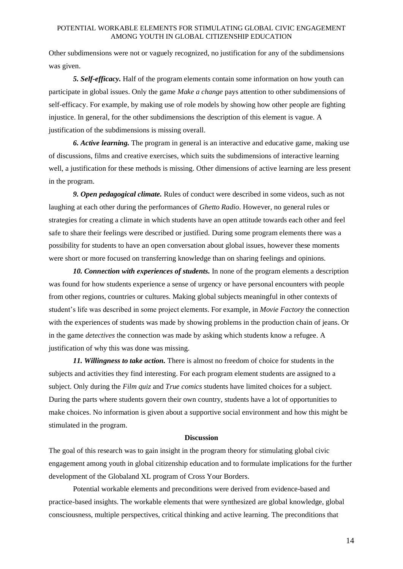Other subdimensions were not or vaguely recognized, no justification for any of the subdimensions was given.

*5. Self-efficacy.* Half of the program elements contain some information on how youth can participate in global issues. Only the game *Make a change* pays attention to other subdimensions of self-efficacy. For example, by making use of role models by showing how other people are fighting injustice. In general, for the other subdimensions the description of this element is vague. A justification of the subdimensions is missing overall.

*6. Active learning.* The program in general is an interactive and educative game, making use of discussions, films and creative exercises, which suits the subdimensions of interactive learning well, a justification for these methods is missing. Other dimensions of active learning are less present in the program.

*9. Open pedagogical climate.* Rules of conduct were described in some videos, such as not laughing at each other during the performances of *Ghetto Radio*. However, no general rules or strategies for creating a climate in which students have an open attitude towards each other and feel safe to share their feelings were described or justified. During some program elements there was a possibility for students to have an open conversation about global issues, however these moments were short or more focused on transferring knowledge than on sharing feelings and opinions.

*10. Connection with experiences of students.* In none of the program elements a description was found for how students experience a sense of urgency or have personal encounters with people from other regions, countries or cultures. Making global subjects meaningful in other contexts of student's life was described in some project elements. For example, in *Movie Factory* the connection with the experiences of students was made by showing problems in the production chain of jeans. Or in the game *detectives* the connection was made by asking which students know a refugee. A justification of why this was done was missing.

*11. Willingness to take action.* There is almost no freedom of choice for students in the subjects and activities they find interesting. For each program element students are assigned to a subject. Only during the *Film quiz* and *True comics* students have limited choices for a subject. During the parts where students govern their own country, students have a lot of opportunities to make choices. No information is given about a supportive social environment and how this might be stimulated in the program.

#### **Discussion**

The goal of this research was to gain insight in the program theory for stimulating global civic engagement among youth in global citizenship education and to formulate implications for the further development of the Globaland XL program of Cross Your Borders.

Potential workable elements and preconditions were derived from evidence-based and practice-based insights. The workable elements that were synthesized are global knowledge, global consciousness, multiple perspectives, critical thinking and active learning. The preconditions that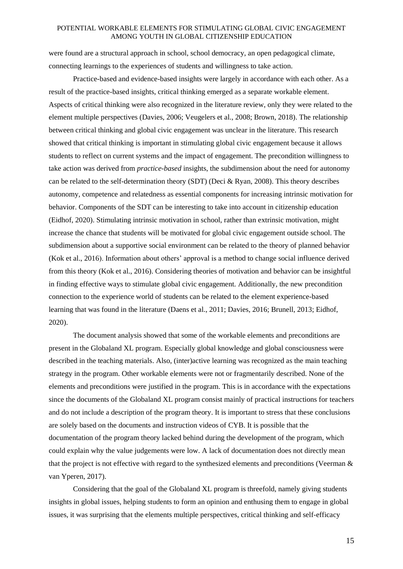were found are a structural approach in school, school democracy, an open pedagogical climate, connecting learnings to the experiences of students and willingness to take action.

Practice-based and evidence-based insights were largely in accordance with each other. As a result of the practice-based insights, critical thinking emerged as a separate workable element. Aspects of critical thinking were also recognized in the literature review, only they were related to the element multiple perspectives (Davies, 2006; Veugelers et al., 2008; Brown, 2018). The relationship between critical thinking and global civic engagement was unclear in the literature. This research showed that critical thinking is important in stimulating global civic engagement because it allows students to reflect on current systems and the impact of engagement. The precondition willingness to take action was derived from *practice-based* insights, the subdimension about the need for autonomy can be related to the self-determination theory (SDT) (Deci & Ryan, 2008). This theory describes autonomy, competence and relatedness as essential components for increasing intrinsic motivation for behavior. Components of the SDT can be interesting to take into account in citizenship education (Eidhof, 2020). Stimulating intrinsic motivation in school, rather than extrinsic motivation, might increase the chance that students will be motivated for global civic engagement outside school. The subdimension about a supportive social environment can be related to the theory of planned behavior (Kok et al., 2016). Information about others' approval is a method to change social influence derived from this theory (Kok et al., 2016). Considering theories of motivation and behavior can be insightful in finding effective ways to stimulate global civic engagement. Additionally, the new precondition connection to the experience world of students can be related to the element experience-based learning that was found in the literature (Daens et al., 2011; Davies, 2016; Brunell, 2013; Eidhof, 2020).

The document analysis showed that some of the workable elements and preconditions are present in the Globaland XL program. Especially global knowledge and global consciousness were described in the teaching materials. Also, (inter)active learning was recognized as the main teaching strategy in the program. Other workable elements were not or fragmentarily described. None of the elements and preconditions were justified in the program. This is in accordance with the expectations since the documents of the Globaland XL program consist mainly of practical instructions for teachers and do not include a description of the program theory. It is important to stress that these conclusions are solely based on the documents and instruction videos of CYB. It is possible that the documentation of the program theory lacked behind during the development of the program, which could explain why the value judgements were low. A lack of documentation does not directly mean that the project is not effective with regard to the synthesized elements and preconditions (Veerman & van Yperen, 2017).

Considering that the goal of the Globaland XL program is threefold, namely giving students insights in global issues, helping students to form an opinion and enthusing them to engage in global issues, it was surprising that the elements multiple perspectives, critical thinking and self-efficacy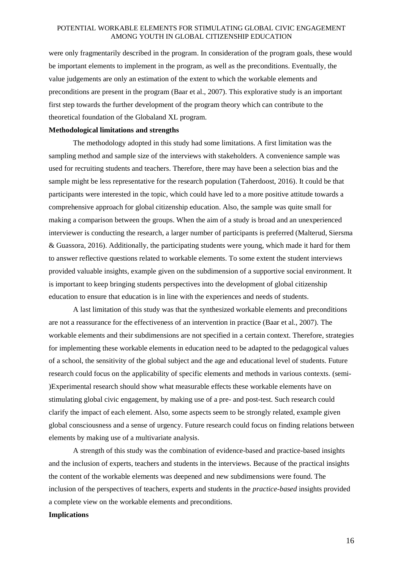were only fragmentarily described in the program. In consideration of the program goals, these would be important elements to implement in the program, as well as the preconditions. Eventually, the value judgements are only an estimation of the extent to which the workable elements and preconditions are present in the program (Baar et al., 2007). This explorative study is an important first step towards the further development of the program theory which can contribute to the theoretical foundation of the Globaland XL program.

#### **Methodological limitations and strengths**

The methodology adopted in this study had some limitations. A first limitation was the sampling method and sample size of the interviews with stakeholders. A convenience sample was used for recruiting students and teachers. Therefore, there may have been a selection bias and the sample might be less representative for the research population (Taherdoost, 2016). It could be that participants were interested in the topic, which could have led to a more positive attitude towards a comprehensive approach for global citizenship education. Also, the sample was quite small for making a comparison between the groups. When the aim of a study is broad and an unexperienced interviewer is conducting the research, a larger number of participants is preferred (Malterud, Siersma & Guassora, 2016). Additionally, the participating students were young, which made it hard for them to answer reflective questions related to workable elements. To some extent the student interviews provided valuable insights, example given on the subdimension of a supportive social environment. It is important to keep bringing students perspectives into the development of global citizenship education to ensure that education is in line with the experiences and needs of students.

A last limitation of this study was that the synthesized workable elements and preconditions are not a reassurance for the effectiveness of an intervention in practice (Baar et al., 2007). The workable elements and their subdimensions are not specified in a certain context. Therefore, strategies for implementing these workable elements in education need to be adapted to the pedagogical values of a school, the sensitivity of the global subject and the age and educational level of students. Future research could focus on the applicability of specific elements and methods in various contexts. (semi- )Experimental research should show what measurable effects these workable elements have on stimulating global civic engagement, by making use of a pre- and post-test. Such research could clarify the impact of each element. Also, some aspects seem to be strongly related, example given global consciousness and a sense of urgency. Future research could focus on finding relations between elements by making use of a multivariate analysis.

A strength of this study was the combination of evidence-based and practice-based insights and the inclusion of experts, teachers and students in the interviews. Because of the practical insights the content of the workable elements was deepened and new subdimensions were found. The inclusion of the perspectives of teachers, experts and students in the *practice-based* insights provided a complete view on the workable elements and preconditions.

#### **Implications**

16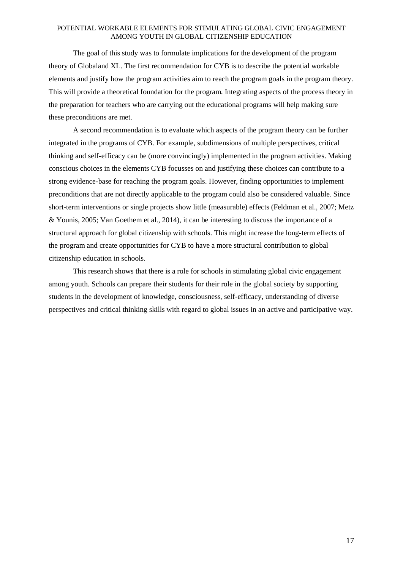The goal of this study was to formulate implications for the development of the program theory of Globaland XL. The first recommendation for CYB is to describe the potential workable elements and justify how the program activities aim to reach the program goals in the program theory. This will provide a theoretical foundation for the program. Integrating aspects of the process theory in the preparation for teachers who are carrying out the educational programs will help making sure these preconditions are met.

A second recommendation is to evaluate which aspects of the program theory can be further integrated in the programs of CYB. For example, subdimensions of multiple perspectives, critical thinking and self-efficacy can be (more convincingly) implemented in the program activities. Making conscious choices in the elements CYB focusses on and justifying these choices can contribute to a strong evidence-base for reaching the program goals. However, finding opportunities to implement preconditions that are not directly applicable to the program could also be considered valuable. Since short-term interventions or single projects show little (measurable) effects (Feldman et al., 2007; Metz & Younis, 2005; Van Goethem et al., 2014), it can be interesting to discuss the importance of a structural approach for global citizenship with schools. This might increase the long-term effects of the program and create opportunities for CYB to have a more structural contribution to global citizenship education in schools.

This research shows that there is a role for schools in stimulating global civic engagement among youth. Schools can prepare their students for their role in the global society by supporting students in the development of knowledge, consciousness, self-efficacy, understanding of diverse perspectives and critical thinking skills with regard to global issues in an active and participative way.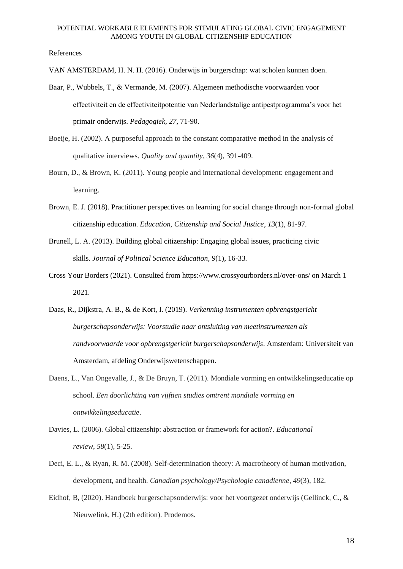#### References

VAN AMSTERDAM, H. N. H. (2016). Onderwijs in burgerschap: wat scholen kunnen doen.

- Baar, P., Wubbels, T., & Vermande, M. (2007). Algemeen methodische voorwaarden voor effectiviteit en de effectiviteitpotentie van Nederlandstalige antipestprogramma's voor het primair onderwijs. *Pedagogiek, 27*, 71-90.
- Boeije, H. (2002). A purposeful approach to the constant comparative method in the analysis of qualitative interviews. *Quality and quantity*, *36*(4), 391-409.
- Bourn, D., & Brown, K. (2011). Young people and international development: engagement and learning.
- Brown, E. J. (2018). Practitioner perspectives on learning for social change through non-formal global citizenship education. *Education, Citizenship and Social Justice*, *13*(1), 81-97.
- Brunell, L. A. (2013). Building global citizenship: Engaging global issues, practicing civic skills. *Journal of Political Science Education*, *9*(1), 16-33.
- Cross Your Borders (2021). Consulted from<https://www.crossyourborders.nl/over-ons/> on March 1 2021.
- Daas, R., Dijkstra, A. B., & de Kort, I. (2019). *Verkenning instrumenten opbrengstgericht burgerschapsonderwijs: Voorstudie naar ontsluiting van meetinstrumenten als randvoorwaarde voor opbrengstgericht burgerschapsonderwijs*. Amsterdam: Universiteit van Amsterdam, afdeling Onderwijswetenschappen.
- Daens, L., Van Ongevalle, J., & De Bruyn, T. (2011). Mondiale vorming en ontwikkelingseducatie op school. *Een doorlichting van vijftien studies omtrent mondiale vorming en ontwikkelingseducatie*.
- Davies, L. (2006). Global citizenship: abstraction or framework for action?. *Educational review*, *58*(1), 5-25.
- Deci, E. L., & Ryan, R. M. (2008). Self-determination theory: A macrotheory of human motivation, development, and health. *Canadian psychology/Psychologie canadienne*, *49*(3), 182.
- Eidhof, B, (2020). Handboek burgerschapsonderwijs: voor het voortgezet onderwijs (Gellinck, C., & Nieuwelink, H.) (2th edition). Prodemos.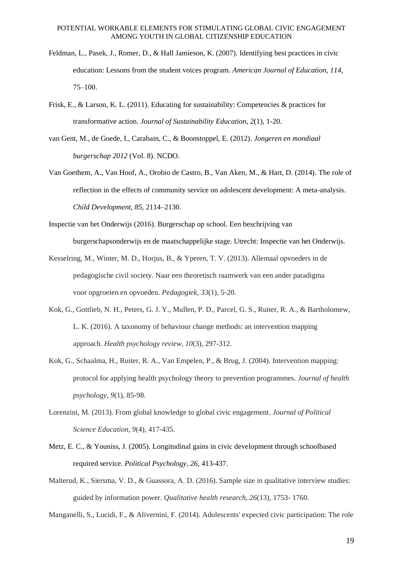- Feldman, L., Pasek, J., Romer, D., & Hall Jamieson, K. (2007). Identifying best practices in civic education: Lessons from the student voices program. *American Journal of Education, 114,*  75–100.
- Frisk, E., & Larson, K. L. (2011). Educating for sustainability: Competencies & practices for transformative action. *Journal of Sustainability Education*, *2*(1), 1-20.
- van Gent, M., de Goede, I., Carabain, C., & Boonstoppel, E. (2012). *Jongeren en mondiaal burgerschap 2012* (Vol. 8). NCDO.
- Van Goethem, A., Van Hoof, A., Orobio de Castro, B., Van Aken, M., & Hart, D. (2014). The role of reflection in the effects of community service on adolescent development: A meta-analysis. *Child Development, 85,* 2114–2130.
- Inspectie van het Onderwijs (2016). Burgerschap op school. Een beschrijving van burgerschapsonderwijs en de maatschappelijke stage. Utrecht: Inspectie van het Onderwijs.
- Kesselring, M., Winter, M. D., Horjus, B., & Yperen, T. V. (2013). Allemaal opvoeders in de pedagogische civil society. Naar een theoretisch raamwerk van een ander paradigma voor opgroeien en opvoeden. *Pedagogiek*, *33*(1), 5-20.
- Kok, G., Gottlieb, N. H., Peters, G. J. Y., Mullen, P. D., Parcel, G. S., Ruiter, R. A., & Bartholomew, L. K. (2016). A taxonomy of behaviour change methods: an intervention mapping approach. *Health psychology review*, *10*(3), 297-312.
- Kok, G., Schaalma, H., Ruiter, R. A., Van Empelen, P., & Brug, J. (2004). Intervention mapping: protocol for applying health psychology theory to prevention programmes. *Journal of health psychology*, *9*(1), 85-98.
- Lorenzini, M. (2013). From global knowledge to global civic engagement. *Journal of Political Science Education*, *9*(4), 417-435.
- Metz, E. C., & Youniss, J. (2005). Longitudinal gains in civic development through schoolbased required service. *Political Psychology, 26*, 413-437.
- Malterud, K., Siersma, V. D., & Guassora, A. D. (2016). Sample size in qualitative interview studies: guided by information power. *Qualitative health research*, *26*(13), 1753- 1760.

Manganelli, S., Lucidi, F., & Alivernini, F. (2014). Adolescents' expected civic participation: The role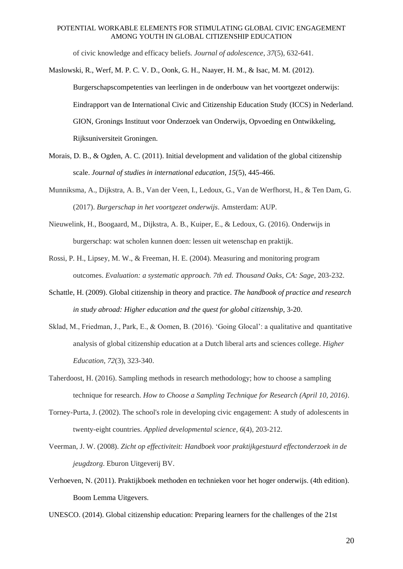of civic knowledge and efficacy beliefs. *Journal of adolescence*, *37*(5), 632-641.

Maslowski, R., Werf, M. P. C. V. D., Oonk, G. H., Naayer, H. M., & Isac, M. M. (2012).

Burgerschapscompetenties van leerlingen in de onderbouw van het voortgezet onderwijs: Eindrapport van de International Civic and Citizenship Education Study (ICCS) in Nederland. GION, Gronings Instituut voor Onderzoek van Onderwijs, Opvoeding en Ontwikkeling, Rijksuniversiteit Groningen.

- Morais, D. B., & Ogden, A. C. (2011). Initial development and validation of the global citizenship scale. *Journal of studies in international education*, *15*(5), 445-466.
- Munniksma, A., Dijkstra, A. B., Van der Veen, I., Ledoux, G., Van de Werfhorst, H., & Ten Dam, G. (2017). *Burgerschap in het voortgezet onderwijs*. Amsterdam: AUP.
- Nieuwelink, H., Boogaard, M., Dijkstra, A. B., Kuiper, E., & Ledoux, G. (2016). Onderwijs in burgerschap: wat scholen kunnen doen: lessen uit wetenschap en praktijk.
- Rossi, P. H., Lipsey, M. W., & Freeman, H. E. (2004). Measuring and monitoring program outcomes. *Evaluation: a systematic approach. 7th ed. Thousand Oaks, CA: Sage*, 203-232.
- Schattle, H. (2009). Global citizenship in theory and practice. *The handbook of practice and research in study abroad: Higher education and the quest for global citizenship*, 3-20.
- Sklad, M., Friedman, J., Park, E., & Oomen, B. (2016). 'Going Glocal': a qualitative and quantitative analysis of global citizenship education at a Dutch liberal arts and sciences college. *Higher Education*, *72*(3), 323-340.
- Taherdoost, H. (2016). Sampling methods in research methodology; how to choose a sampling technique for research. *How to Choose a Sampling Technique for Research (April 10, 2016)*.
- Torney-Purta, J. (2002). The school's role in developing civic engagement: A study of adolescents in twenty-eight countries. *Applied developmental science*, *6*(4), 203-212.
- Veerman, J. W. (2008). *Zicht op effectiviteit: Handboek voor praktijkgestuurd effectonderzoek in de jeugdzorg*. Eburon Uitgeverij BV.
- Verhoeven, N. (2011). Praktijkboek methoden en technieken voor het hoger onderwijs. (4th edition). Boom Lemma Uitgevers.

UNESCO. (2014). Global citizenship education: Preparing learners for the challenges of the 21st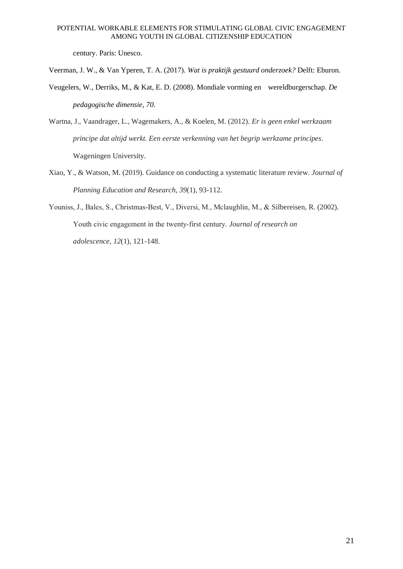century. Paris: Unesco.

Veerman, J. W., & Van Yperen, T. A. (2017). *Wat is praktijk gestuurd onderzoek?* Delft: Eburon.

- Veugelers, W., Derriks, M., & Kat, E. D. (2008). Mondiale vorming en wereldburgerschap. *De pedagogische dimensie*, *70*.
- Wartna, J., Vaandrager, L., Wagemakers, A., & Koelen, M. (2012). *Er is geen enkel werkzaam principe dat altijd werkt. Een eerste verkenning van het begrip werkzame principes*. Wageningen University.
- Xiao, Y., & Watson, M. (2019). Guidance on conducting a systematic literature review. *Journal of Planning Education and Research*, *39*(1), 93-112.
- Youniss, J., Bales, S., Christmas‐Best, V., Diversi, M., Mclaughlin, M., & Silbereisen, R. (2002). Youth civic engagement in the twenty‐first century. *Journal of research on*

*adolescence*, *12*(1), 121-148.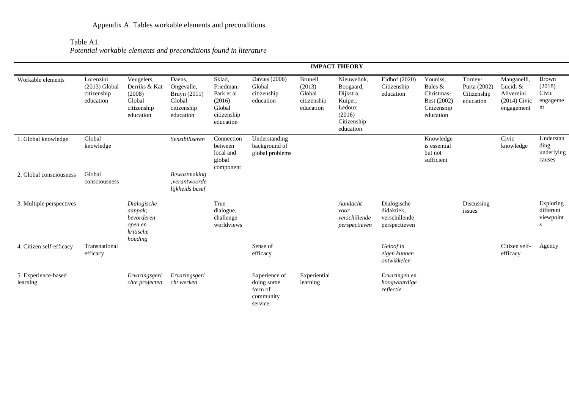Table A1.

*Potential workable elements and preconditions found in literature*

|                                 |                                                          |                                                                             |                                                                            |                                                                                   |                                                                |                                                         | <b>IMPACT THEORY</b>                                                                             |                                                             |                                                                              |                                                     |                                                                       |                                                   |
|---------------------------------|----------------------------------------------------------|-----------------------------------------------------------------------------|----------------------------------------------------------------------------|-----------------------------------------------------------------------------------|----------------------------------------------------------------|---------------------------------------------------------|--------------------------------------------------------------------------------------------------|-------------------------------------------------------------|------------------------------------------------------------------------------|-----------------------------------------------------|-----------------------------------------------------------------------|---------------------------------------------------|
| Workable elements               | Lorenzini<br>$(2013)$ Global<br>citizenship<br>education | Veugelers,<br>Derriks & Kat<br>(2008)<br>Global<br>citizenship<br>education | Daens,<br>Ongevalle,<br>Bruyn (2011)<br>Global<br>citizenship<br>education | Sklad,<br>Friedman,<br>Park et al<br>(2016)<br>Global<br>citizenship<br>education | Davies (2006)<br>Global<br>citizenship<br>education            | Brunell<br>(2013)<br>Global<br>citizenship<br>education | Nieuwelink.<br>Boogaard,<br>Dijkstra,<br>Kuiper,<br>Ledoux<br>(2016)<br>Citizenship<br>education | Eidhof (2020)<br>Citizenship<br>education                   | Youniss,<br>Bales &<br>Christmas-<br>Best (2002)<br>Citizenship<br>education | Torney-<br>Purta (2002)<br>Citizenship<br>education | Manganelli,<br>Lucidi &<br>Alivernini<br>$(2014)$ Civic<br>engagement | <b>Brown</b><br>(2018)<br>Civic<br>engageme<br>nt |
| 1. Global knowledge             | Global<br>knowledge                                      |                                                                             | Sensibiliseren                                                             | Connection<br>between<br>local and<br>global<br>component                         | Understanding<br>background of<br>global problems              |                                                         |                                                                                                  |                                                             | Knowledge<br>is essential<br>but not<br>sufficient                           |                                                     | Civic<br>knowledge                                                    | Understan<br>ding<br>underlying<br>causes         |
| 2. Global consciousness         | Global<br>consciousness                                  |                                                                             | <b>Bewustmaking</b><br>:verantwoorde<br>lijkheids besef                    |                                                                                   |                                                                |                                                         |                                                                                                  |                                                             |                                                                              |                                                     |                                                                       |                                                   |
| 3. Multiple perspectives        |                                                          | Dialogische<br>aanpak;<br>bevorderen<br>open en<br>kritische<br>houding     |                                                                            | True<br>dialogue,<br>challenge<br>worldviews                                      |                                                                |                                                         | Aandacht<br>voor<br>verschillende<br>perspectieven                                               | Dialogische<br>didaktiek:<br>verschillende<br>perspectieven |                                                                              | Discussing<br>issues                                |                                                                       | Exploring<br>different<br>viewpoint<br>S          |
| 4. Citizen self-efficacy        | Transnational<br>efficacy                                |                                                                             |                                                                            |                                                                                   | Sense of<br>efficacy                                           |                                                         |                                                                                                  | Geloof in<br>eigen kunnen<br>ontwikkelen                    |                                                                              |                                                     | Citizen self-<br>efficacy                                             | Agency                                            |
| 5. Experience-based<br>learning |                                                          | Ervaringsgeri<br>chte projecten                                             | Ervaringsgeri<br>cht werken                                                |                                                                                   | Experience of<br>doing some<br>form of<br>community<br>service | Experiential<br>learning                                |                                                                                                  | Ervaringen en<br>hoogwaardige<br>reflectie                  |                                                                              |                                                     |                                                                       |                                                   |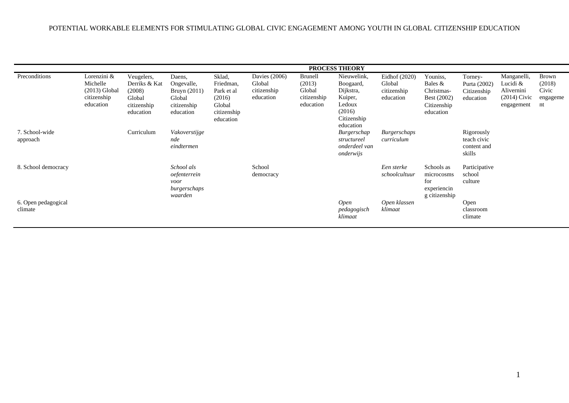|                                |                                                                        |                                                                             |                                                                            |                                                                                   |                                                       |                                                                | <b>PROCESS THEORY</b>                                                                            |                                                     |                                                                              |                                                     |                                                                       |                                                   |
|--------------------------------|------------------------------------------------------------------------|-----------------------------------------------------------------------------|----------------------------------------------------------------------------|-----------------------------------------------------------------------------------|-------------------------------------------------------|----------------------------------------------------------------|--------------------------------------------------------------------------------------------------|-----------------------------------------------------|------------------------------------------------------------------------------|-----------------------------------------------------|-----------------------------------------------------------------------|---------------------------------------------------|
| Preconditions                  | Lorenzini &<br>Michelle<br>$(2013)$ Global<br>citizenship<br>education | Veugelers,<br>Derriks & Kat<br>(2008)<br>Global<br>citizenship<br>education | Daens,<br>Ongevalle,<br>Bruyn (2011)<br>Global<br>citizenship<br>education | Sklad,<br>Friedman,<br>Park et al<br>(2016)<br>Global<br>citizenship<br>education | Davies $(2006)$<br>Global<br>citizenship<br>education | <b>Brunell</b><br>(2013)<br>Global<br>citizenship<br>education | Nieuwelink,<br>Boogaard,<br>Dijkstra,<br>Kuiper,<br>Ledoux<br>(2016)<br>Citizenship<br>education | Eidhof (2020)<br>Global<br>citizenship<br>education | Youniss,<br>Bales &<br>Christmas-<br>Best (2002)<br>Citizenship<br>education | Torney-<br>Purta (2002)<br>Citizenship<br>education | Manganelli,<br>Lucidi &<br>Alivernini<br>$(2014)$ Civic<br>engagement | <b>Brown</b><br>(2018)<br>Civic<br>engageme<br>nt |
| 7. School-wide<br>approach     |                                                                        | Curriculum                                                                  | Vakoverstijge<br>nde<br>eindtermen                                         |                                                                                   |                                                       |                                                                | Burgerschap<br>structureel<br>onderdeel van<br>onderwijs                                         | Burgerschaps<br>curriculum                          |                                                                              | Rigorously<br>teach civic<br>content and<br>skills  |                                                                       |                                                   |
| 8. School democracy            |                                                                        |                                                                             | School als<br>oefenterrein<br>voor<br>burgerschaps<br>waarden              |                                                                                   | School<br>democracy                                   |                                                                |                                                                                                  | Een sterke<br>schoolcultuur                         | Schools as<br>microcosms<br>for<br>experiencin<br>g citizenship              | Participative<br>school<br>culture                  |                                                                       |                                                   |
| 6. Open pedagogical<br>climate |                                                                        |                                                                             |                                                                            |                                                                                   |                                                       |                                                                | Open<br>pedagogisch<br>klimaat                                                                   | Open klassen<br>klimaat                             |                                                                              | Open<br>classroom<br>climate                        |                                                                       |                                                   |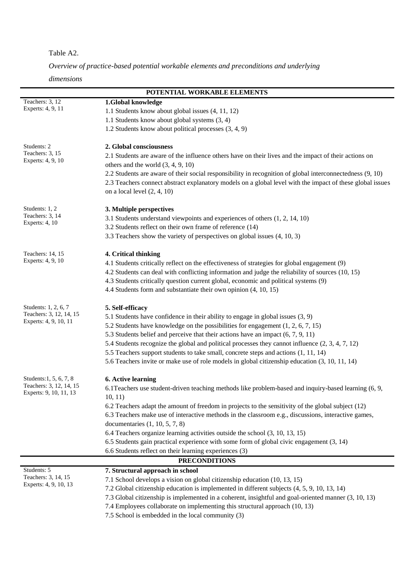## Table A2.

*Overview of practice-based potential workable elements and preconditions and underlying* 

*dimensions*

|                                              | POTENTIAL WORKABLE ELEMENTS                                                                               |
|----------------------------------------------|-----------------------------------------------------------------------------------------------------------|
| Teachers: 3, 12                              | 1.Global knowledge                                                                                        |
| Experts: 4, 9, 11                            | 1.1 Students know about global issues (4, 11, 12)                                                         |
|                                              | 1.1 Students know about global systems (3, 4)                                                             |
|                                              | 1.2 Students know about political processes (3, 4, 9)                                                     |
| Students: 2                                  | 2. Global consciousness                                                                                   |
| Teachers: 3, 15                              | 2.1 Students are aware of the influence others have on their lives and the impact of their actions on     |
| Experts: 4, 9, 10                            | others and the world $(3, 4, 9, 10)$                                                                      |
|                                              | 2.2 Students are aware of their social responsibility in recognition of global interconnectedness (9, 10) |
|                                              | 2.3 Teachers connect abstract explanatory models on a global level with the impact of these global issues |
|                                              | on a local level $(2, 4, 10)$                                                                             |
| Students: 1, 2                               | 3. Multiple perspectives                                                                                  |
| Teachers: 3, 14                              | 3.1 Students understand viewpoints and experiences of others (1, 2, 14, 10)                               |
| Experts: 4, 10                               | 3.2 Students reflect on their own frame of reference (14)                                                 |
|                                              | 3.3 Teachers show the variety of perspectives on global issues (4, 10, 3)                                 |
|                                              |                                                                                                           |
| Teachers: 14, 15                             | 4. Critical thinking                                                                                      |
| Experts: 4, 9, 10                            | 4.1 Students critically reflect on the effectiveness of strategies for global engagement (9)              |
|                                              | 4.2 Students can deal with conflicting information and judge the reliability of sources (10, 15)          |
|                                              | 4.3 Students critically question current global, economic and political systems (9)                       |
|                                              | 4.4 Students form and substantiate their own opinion (4, 10, 15)                                          |
| Students: 1, 2, 6, 7                         | 5. Self-efficacy                                                                                          |
| Teachers: 3, 12, 14, 15                      | 5.1 Students have confidence in their ability to engage in global issues (3, 9)                           |
| Experts: 4, 9, 10, 11                        | 5.2 Students have knowledge on the possibilities for engagement $(1, 2, 6, 7, 15)$                        |
|                                              | 5.3 Students belief and perceive that their actions have an impact (6, 7, 9, 11)                          |
|                                              | 5.4 Students recognize the global and political processes they cannot influence (2, 3, 4, 7, 12)          |
|                                              | 5.5 Teachers support students to take small, concrete steps and actions (1, 11, 14)                       |
|                                              | 5.6 Teachers invite or make use of role models in global citizenship education (3, 10, 11, 14)            |
| Students: 1, 5, 6, 7, 8                      | <b>6. Active learning</b>                                                                                 |
| Teachers: 3, 12, 14, 15                      | 6.1 Teachers use student-driven teaching methods like problem-based and inquiry-based learning (6, 9,     |
| Experts: 9, 10, 11, 13                       | 10, 11)                                                                                                   |
|                                              | 6.2 Teachers adapt the amount of freedom in projects to the sensitivity of the global subject (12)        |
|                                              | 6.3 Teachers make use of interactive methods in the classroom e.g., discussions, interactive games,       |
|                                              | documentaries $(1, 10, 5, 7, 8)$                                                                          |
|                                              | 6.4 Teachers organize learning activities outside the school (3, 10, 13, 15)                              |
|                                              | 6.5 Students gain practical experience with some form of global civic engagement (3, 14)                  |
|                                              | 6.6 Students reflect on their learning experiences (3)                                                    |
|                                              | <b>PRECONDITIONS</b>                                                                                      |
| Students: 5                                  | 7. Structural approach in school                                                                          |
| Teachers: 3, 14, 15<br>Experts: 4, 9, 10, 13 | 7.1 School develops a vision on global citizenship education (10, 13, 15)                                 |
|                                              | 7.2 Global citizenship education is implemented in different subjects (4, 5, 9, 10, 13, 14)               |
|                                              | 7.3 Global citizenship is implemented in a coherent, insightful and goal-oriented manner (3, 10, 13)      |
|                                              | 7.4 Employees collaborate on implementing this structural approach (10, 13)                               |
|                                              | 7.5 School is embedded in the local community (3)                                                         |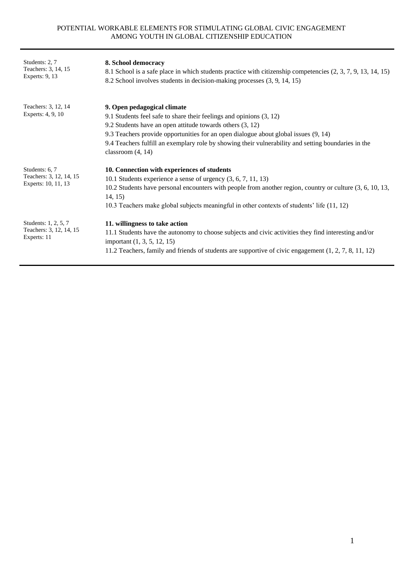| Students: 2, 7<br>Teachers: 3, 14, 15<br>Experts: 9, 13          | 8. School democracy<br>8.1 School is a safe place in which students practice with citizenship competencies (2, 3, 7, 9, 13, 14, 15)<br>8.2 School involves students in decision-making processes (3, 9, 14, 15)                                                                                                                                                                        |
|------------------------------------------------------------------|----------------------------------------------------------------------------------------------------------------------------------------------------------------------------------------------------------------------------------------------------------------------------------------------------------------------------------------------------------------------------------------|
| Teachers: 3, 12, 14<br>Experts: 4, 9, 10                         | 9. Open pedagogical climate<br>9.1 Students feel safe to share their feelings and opinions (3, 12)<br>9.2 Students have an open attitude towards others $(3, 12)$<br>9.3 Teachers provide opportunities for an open dialogue about global issues (9, 14)<br>9.4 Teachers fulfill an exemplary role by showing their vulnerability and setting boundaries in the<br>classroom $(4, 14)$ |
| Students: 6, 7<br>Teachers: 3, 12, 14, 15<br>Experts: 10, 11, 13 | 10. Connection with experiences of students<br>10.1 Students experience a sense of urgency $(3, 6, 7, 11, 13)$<br>10.2 Students have personal encounters with people from another region, country or culture (3, 6, 10, 13,<br>14, 15)<br>10.3 Teachers make global subjects meaningful in other contexts of students' life (11, 12)                                                   |
| Students: 1, 2, 5, 7<br>Teachers: 3, 12, 14, 15<br>Experts: 11   | 11. willingness to take action<br>11.1 Students have the autonomy to choose subjects and civic activities they find interesting and/or<br>important (1, 3, 5, 12, 15)<br>11.2 Teachers, family and friends of students are supportive of civic engagement $(1, 2, 7, 8, 11, 12)$                                                                                                       |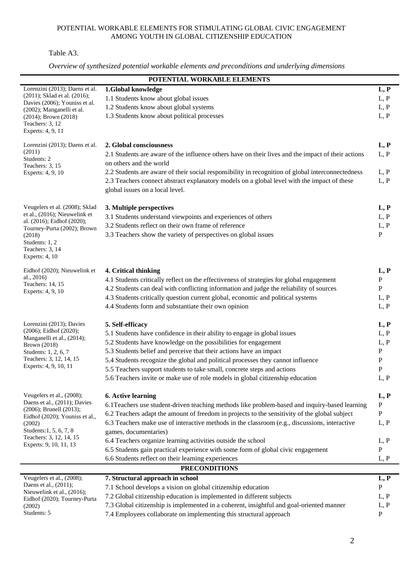Table A3.

|                                                             | POTENTIAL WORKABLE ELEMENTS                                                                                                            |                      |
|-------------------------------------------------------------|----------------------------------------------------------------------------------------------------------------------------------------|----------------------|
| Lorenzini (2013); Daens et al.                              | 1.Global knowledge                                                                                                                     | L, P                 |
| (2011); Sklad et al. (2016);                                | 1.1 Students know about global issues                                                                                                  | L, P                 |
| Davies (2006); Youniss et al.<br>(2002); Manganelli et al.  | 1.2 Students know about global systems                                                                                                 | L, P                 |
| $(2014)$ ; Brown $(2018)$                                   | 1.3 Students know about political processes                                                                                            | L, P                 |
| Teachers: 3, 12                                             |                                                                                                                                        |                      |
| Experts: 4, 9, 11                                           |                                                                                                                                        |                      |
| Lorenzini (2013); Daens et al.                              | 2. Global consciousness                                                                                                                | L, P                 |
| (2011)                                                      | 2.1 Students are aware of the influence others have on their lives and the impact of their actions                                     | L, P                 |
| Students: 2<br>Teachers: 3, 15                              | on others and the world                                                                                                                |                      |
| Experts: 4, 9, 10                                           | 2.2 Students are aware of their social responsibility in recognition of global interconnectedness                                      | L, P                 |
|                                                             | 2.3 Teachers connect abstract explanatory models on a global level with the impact of these                                            | L, P                 |
|                                                             | global issues on a local level.                                                                                                        |                      |
|                                                             |                                                                                                                                        |                      |
| Veugelers et al. (2008); Sklad                              | 3. Multiple perspectives                                                                                                               | L, P                 |
| et al., (2016); Nieuwelink et<br>al. (2016); Eidhof (2020); | 3.1 Students understand viewpoints and experiences of others                                                                           | L, P                 |
| Tourney-Purta (2002); Brown                                 | 3.2 Students reflect on their own frame of reference                                                                                   | L, P                 |
| (2018)                                                      | 3.3 Teachers show the variety of perspectives on global issues                                                                         | ${\bf P}$            |
| Students: 1, 2<br>Teachers: 3, 14                           |                                                                                                                                        |                      |
| Experts: $4, 10$                                            |                                                                                                                                        |                      |
| Eidhof (2020); Nieuwelink et                                |                                                                                                                                        |                      |
| al., 2016)                                                  | 4. Critical thinking<br>4.1 Students critically reflect on the effectiveness of strategies for global engagement                       | L, P<br>${\bf P}$    |
| Teachers: 14, 15                                            | 4.2 Students can deal with conflicting information and judge the reliability of sources                                                | ${\bf P}$            |
| Experts: 4, 9, 10                                           | 4.3 Students critically question current global, economic and political systems                                                        | L, P                 |
|                                                             | 4.4 Students form and substantiate their own opinion                                                                                   | L, P                 |
|                                                             |                                                                                                                                        |                      |
| Lorenzini (2013); Davies                                    | 5. Self-efficacy                                                                                                                       | L, P                 |
| (2006); Eidhof (2020);                                      | 5.1 Students have confidence in their ability to engage in global issues                                                               | L, P                 |
| Manganelli et al., (2014);<br>Brown (2018)                  | 5.2 Students have knowledge on the possibilities for engagement                                                                        | L, P                 |
| Students: 1, 2, 6, 7                                        | 5.3 Students belief and perceive that their actions have an impact                                                                     | $\mathbf{P}$         |
| Teachers: 3, 12, 14, 15                                     | 5.4 Students recognize the global and political processes they cannot influence                                                        | P                    |
| Experts: 4, 9, 10, 11                                       | 5.5 Teachers support students to take small, concrete steps and actions                                                                | ${\bf P}$            |
|                                                             | 5.6 Teachers invite or make use of role models in global citizenship education                                                         | L, P                 |
|                                                             |                                                                                                                                        |                      |
| Veugelers et al., (2008);<br>Daens et al., (2011); Davies   | <b>6. Active learning</b>                                                                                                              | L, P                 |
| $(2006)$ ; Brunell $(2013)$ ;                               | 6.1 Teachers use student-driven teaching methods like problem-based and inquiry-based learning                                         | $\, {\bf P}$         |
| Eidhof (2020); Youniss et al.,                              | 6.2 Teachers adapt the amount of freedom in projects to the sensitivity of the global subject                                          | P                    |
| (2002)<br>Students: 1, 5, 6, 7, 8                           | 6.3 Teachers make use of interactive methods in the classroom (e.g., discussions, interactive                                          | L, P                 |
| Teachers: 3, 12, 14, 15                                     | games, documentaries)                                                                                                                  |                      |
| Experts: 9, 10, 11, 13                                      | 6.4 Teachers organize learning activities outside the school                                                                           | L, P                 |
|                                                             | 6.5 Students gain practical experience with some form of global civic engagement<br>6.6 Students reflect on their learning experiences | $\, {\bf P}$<br>L, P |
|                                                             | <b>PRECONDITIONS</b>                                                                                                                   |                      |
| Veugelers et al., (2008);                                   | 7. Structural approach in school                                                                                                       |                      |
| Daens et al., (2011);                                       | 7.1 School develops a vision on global citizenship education                                                                           | L, P<br>${\bf P}$    |
| Nieuwelink et al., (2016);                                  | 7.2 Global citizenship education is implemented in different subjects                                                                  | L, P                 |
| Eidhof (2020); Tourney-Purta                                | 7.3 Global citizenship is implemented in a coherent, insightful and goal-oriented manner                                               | L, P                 |
| (2002)<br>Students: 5                                       | 7.4 Employees collaborate on implementing this structural approach                                                                     | $\mathbf{P}$         |
|                                                             |                                                                                                                                        |                      |

*Overview of synthesized potential workable elements and preconditions and underlying dimensions*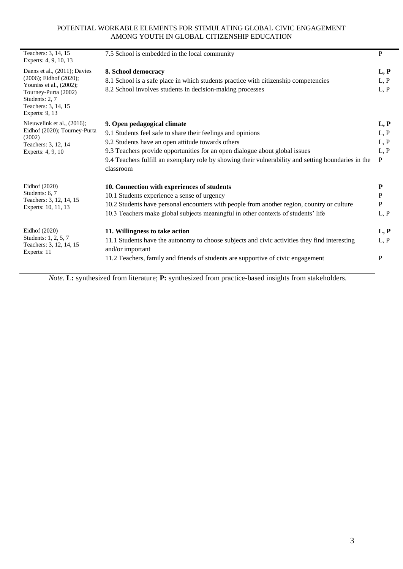| Teachers: 3, 14, 15<br>Experts: 4, 9, 10, 13                                                               | 7.5 School is embedded in the local community                                                                     | $\mathbf{P}$ |  |  |  |  |  |
|------------------------------------------------------------------------------------------------------------|-------------------------------------------------------------------------------------------------------------------|--------------|--|--|--|--|--|
| Daens et al., (2011); Davies                                                                               | 8. School democracy                                                                                               |              |  |  |  |  |  |
| $(2006)$ ; Eidhof $(2020)$ ;                                                                               | 8.1 School is a safe place in which students practice with citizenship competencies                               | L, P         |  |  |  |  |  |
| Youniss et al., (2002);<br>Tourney-Purta (2002)<br>Students: 2, 7<br>Teachers: 3, 14, 15<br>Experts: 9, 13 | 8.2 School involves students in decision-making processes                                                         | L, P         |  |  |  |  |  |
| Nieuwelink et al., (2016);                                                                                 | 9. Open pedagogical climate                                                                                       | L, P         |  |  |  |  |  |
| Eidhof (2020); Tourney-Purta<br>(2002)<br>Teachers: 3, 12, 14<br>Experts: 4, 9, 10                         | 9.1 Students feel safe to share their feelings and opinions                                                       | L, P         |  |  |  |  |  |
|                                                                                                            | 9.2 Students have an open attitude towards others                                                                 | L, P         |  |  |  |  |  |
|                                                                                                            | 9.3 Teachers provide opportunities for an open dialogue about global issues                                       | L, P         |  |  |  |  |  |
|                                                                                                            | 9.4 Teachers fulfill an exemplary role by showing their vulnerability and setting boundaries in the<br>classroom  | $\mathbf{P}$ |  |  |  |  |  |
| Eidhof (2020)                                                                                              | 10. Connection with experiences of students                                                                       | P            |  |  |  |  |  |
| Students: 6, 7                                                                                             | 10.1 Students experience a sense of urgency                                                                       | $\mathbf{P}$ |  |  |  |  |  |
| Teachers: 3, 12, 14, 15<br>Experts: 10, 11, 13                                                             | 10.2 Students have personal encounters with people from another region, country or culture                        | $\mathbf{P}$ |  |  |  |  |  |
|                                                                                                            | 10.3 Teachers make global subjects meaningful in other contexts of students' life                                 | L, P         |  |  |  |  |  |
| Eidhof (2020)                                                                                              | 11. Willingness to take action                                                                                    | L, P         |  |  |  |  |  |
| Students: 1, 2, 5, 7<br>Teachers: 3, 12, 14, 15<br>Experts: 11                                             | 11.1 Students have the autonomy to choose subjects and civic activities they find interesting<br>and/or important | L, P         |  |  |  |  |  |
|                                                                                                            | 11.2 Teachers, family and friends of students are supportive of civic engagement                                  | P            |  |  |  |  |  |
|                                                                                                            |                                                                                                                   |              |  |  |  |  |  |

*Note.* **L:** synthesized from literature; **P:** synthesized from practice-based insights from stakeholders.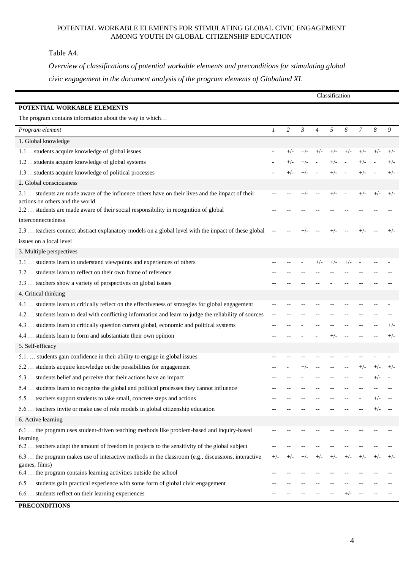Table A4.

*Overview of classifications of potential workable elements and preconditions for stimulating global civic engagement in the document analysis of the program elements of Globaland XL*

|                                                                                                                                                                                                                             |       |       |                |                          |       |        | Classification |          |       |  |  |  |  |  |
|-----------------------------------------------------------------------------------------------------------------------------------------------------------------------------------------------------------------------------|-------|-------|----------------|--------------------------|-------|--------|----------------|----------|-------|--|--|--|--|--|
| POTENTIAL WORKABLE ELEMENTS                                                                                                                                                                                                 |       |       |                |                          |       |        |                |          |       |  |  |  |  |  |
| The program contains information about the way in which                                                                                                                                                                     |       |       |                |                          |       |        |                |          |       |  |  |  |  |  |
| Program element                                                                                                                                                                                                             | 1     | 2     | $\mathfrak{Z}$ | $\overline{4}$           | 5     | 6      | 7              | 8        | 9     |  |  |  |  |  |
| 1. Global knowledge                                                                                                                                                                                                         |       |       |                |                          |       |        |                |          |       |  |  |  |  |  |
| 1.1 students acquire knowledge of global issues                                                                                                                                                                             |       | $+/-$ | $+/-$          | $+/-$                    | $+/-$ | $+/-$  | $+/-$          | $+/-$    | $+/-$ |  |  |  |  |  |
| 1.2 students acquire knowledge of global systems                                                                                                                                                                            |       | $+/-$ | $+/-$          |                          | $+/-$ |        | $+/-$          |          | $+/-$ |  |  |  |  |  |
| 1.3 students acquire knowledge of political processes                                                                                                                                                                       |       | $+/-$ | $+/-$          |                          | $+/-$ |        | $+/-$          |          | $+/-$ |  |  |  |  |  |
| 2. Global consciousness                                                                                                                                                                                                     |       |       |                |                          |       |        |                |          |       |  |  |  |  |  |
| 2.1  students are made aware of the influence others have on their lives and the impact of their<br>actions on others and the world<br>2.2  students are made aware of their social responsibility in recognition of global |       |       | $+/-$          | $\overline{\phantom{a}}$ | $+/-$ | $\sim$ | $+/-$          | $+/-$    | $+/-$ |  |  |  |  |  |
| interconnectedness                                                                                                                                                                                                          |       |       |                |                          |       |        |                |          |       |  |  |  |  |  |
| 2.3  teachers connect abstract explanatory models on a global level with the impact of these global                                                                                                                         |       |       | $+/-$          |                          | $+/-$ |        | $+/-$          |          | $+/-$ |  |  |  |  |  |
| issues on a local level                                                                                                                                                                                                     |       |       |                |                          |       |        |                |          |       |  |  |  |  |  |
| 3. Multiple perspectives                                                                                                                                                                                                    |       |       |                |                          |       |        |                |          |       |  |  |  |  |  |
| 3.1  students learn to understand viewpoints and experiences of others                                                                                                                                                      |       |       |                | $+/-$                    | $+/-$ | $+/-$  |                |          |       |  |  |  |  |  |
| 3.2  students learn to reflect on their own frame of reference                                                                                                                                                              |       |       |                |                          |       |        |                |          |       |  |  |  |  |  |
| 3.3  teachers show a variety of perspectives on global issues                                                                                                                                                               |       |       |                |                          |       |        |                |          |       |  |  |  |  |  |
| 4. Critical thinking                                                                                                                                                                                                        |       |       |                |                          |       |        |                |          |       |  |  |  |  |  |
| 4.1  students learn to critically reflect on the effectiveness of strategies for global engagement                                                                                                                          |       |       |                |                          |       |        |                |          |       |  |  |  |  |  |
| 4.2  students learn to deal with conflicting information and learn to judge the reliability of sources                                                                                                                      |       |       |                |                          |       |        |                |          |       |  |  |  |  |  |
| 4.3  students learn to critically question current global, economic and political systems                                                                                                                                   |       |       |                |                          |       |        |                |          | $+/-$ |  |  |  |  |  |
| 4.4  students learn to form and substantiate their own opinion                                                                                                                                                              |       |       |                |                          | $+/-$ |        |                |          | $+/-$ |  |  |  |  |  |
| 5. Self-efficacy                                                                                                                                                                                                            |       |       |                |                          |       |        |                |          |       |  |  |  |  |  |
| 5.1.  students gain confidence in their ability to engage in global issues                                                                                                                                                  |       |       |                |                          |       |        |                |          |       |  |  |  |  |  |
| 5.2  students acquire knowledge on the possibilities for engagement                                                                                                                                                         |       |       | $+/-$          |                          |       |        | $+/-$          | $^{+/-}$ | $+/-$ |  |  |  |  |  |
| 5.3  students belief and perceive that their actions have an impact                                                                                                                                                         |       |       |                |                          |       |        |                |          |       |  |  |  |  |  |
| 5.4  students learn to recognize the global and political processes they cannot influence                                                                                                                                   |       |       |                |                          |       |        |                |          |       |  |  |  |  |  |
| 5.5  teachers support students to take small, concrete steps and actions                                                                                                                                                    |       |       |                |                          |       |        |                |          |       |  |  |  |  |  |
| 5.6  teachers invite or make use of role models in global citizenship education                                                                                                                                             |       |       |                |                          |       |        |                |          |       |  |  |  |  |  |
| 6. Active learning                                                                                                                                                                                                          |       |       |                |                          |       |        |                |          |       |  |  |  |  |  |
| 6.1  the program uses student-driven teaching methods like problem-based and inquiry-based                                                                                                                                  |       |       |                |                          |       |        |                |          |       |  |  |  |  |  |
| learning                                                                                                                                                                                                                    |       |       |                |                          |       |        |                |          |       |  |  |  |  |  |
| 6.2  teachers adapt the amount of freedom in projects to the sensitivity of the global subject                                                                                                                              |       |       |                |                          |       |        |                |          |       |  |  |  |  |  |
| 6.3  the program makes use of interactive methods in the classroom (e.g., discussions, interactive<br>games, films)                                                                                                         | $+/-$ | +/-   | $+/-$          | $+/-$                    | $+/-$ |        | $^{+/-}$       | $+/-$    | $+/-$ |  |  |  |  |  |
| 6.4  the program contains learning activities outside the school                                                                                                                                                            |       |       |                |                          |       |        |                |          |       |  |  |  |  |  |
| 6.5  students gain practical experience with some form of global civic engagement                                                                                                                                           |       |       |                |                          |       |        |                |          |       |  |  |  |  |  |
| 6.6  students reflect on their learning experiences                                                                                                                                                                         |       |       |                |                          |       |        |                |          |       |  |  |  |  |  |

**PRECONDITIONS**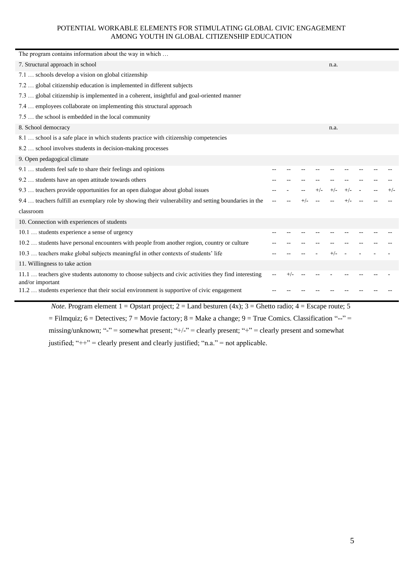| The program contains information about the way in which                                              |     |          |  |       |       |  |  |
|------------------------------------------------------------------------------------------------------|-----|----------|--|-------|-------|--|--|
| 7. Structural approach in school                                                                     |     |          |  | n.a.  |       |  |  |
| 7.1  schools develop a vision on global citizenship                                                  |     |          |  |       |       |  |  |
| 7.2  global citizenship education is implemented in different subjects                               |     |          |  |       |       |  |  |
| 7.3  global citizenship is implemented in a coherent, insightful and goal-oriented manner            |     |          |  |       |       |  |  |
| 7.4  employees collaborate on implementing this structural approach                                  |     |          |  |       |       |  |  |
| 7.5  the school is embedded in the local community                                                   |     |          |  |       |       |  |  |
| 8. School democracy                                                                                  |     |          |  | n.a.  |       |  |  |
| 8.1  school is a safe place in which students practice with citizenship competencies                 |     |          |  |       |       |  |  |
| 8.2  school involves students in decision-making processes                                           |     |          |  |       |       |  |  |
| 9. Open pedagogical climate                                                                          |     |          |  |       |       |  |  |
| 9.1  students feel safe to share their feelings and opinions                                         |     |          |  |       |       |  |  |
| 9.2  students have an open attitude towards others                                                   |     |          |  |       |       |  |  |
| 9.3  teachers provide opportunities for an open dialogue about global issues                         |     |          |  | $+/-$ | $+/-$ |  |  |
| 9.4  teachers fulfill an exemplary role by showing their vulnerability and setting boundaries in the |     |          |  |       |       |  |  |
| classroom                                                                                            |     |          |  |       |       |  |  |
| 10. Connection with experiences of students                                                          |     |          |  |       |       |  |  |
| 10.1  students experience a sense of urgency                                                         |     |          |  |       |       |  |  |
| 10.2  students have personal encounters with people from another region, country or culture          |     |          |  |       |       |  |  |
| 10.3  teachers make global subjects meaningful in other contexts of students' life                   |     |          |  |       |       |  |  |
| 11. Willingness to take action                                                                       |     |          |  |       |       |  |  |
| 11.1  teachers give students autonomy to choose subjects and civic activities they find interesting  | $-$ | $^{+/-}$ |  |       |       |  |  |
| and/or important                                                                                     |     |          |  |       |       |  |  |
| 11.2  students experience that their social environment is supportive of civic engagement            |     |          |  |       |       |  |  |

*Note.* Program element  $1 =$  Opstart project;  $2 =$  Land besturen  $(4x)$ ;  $3 =$  Ghetto radio;  $4 =$  Escape route; 5  $=$  Filmquiz; 6 = Detectives; 7 = Movie factory; 8 = Make a change; 9 = True Comics. Classification "--" = missing/unknown; "-" = somewhat present; "+/-" = clearly present; "+" = clearly present and somewhat justified; " $++$ " = clearly present and clearly justified; "n.a." = not applicable.